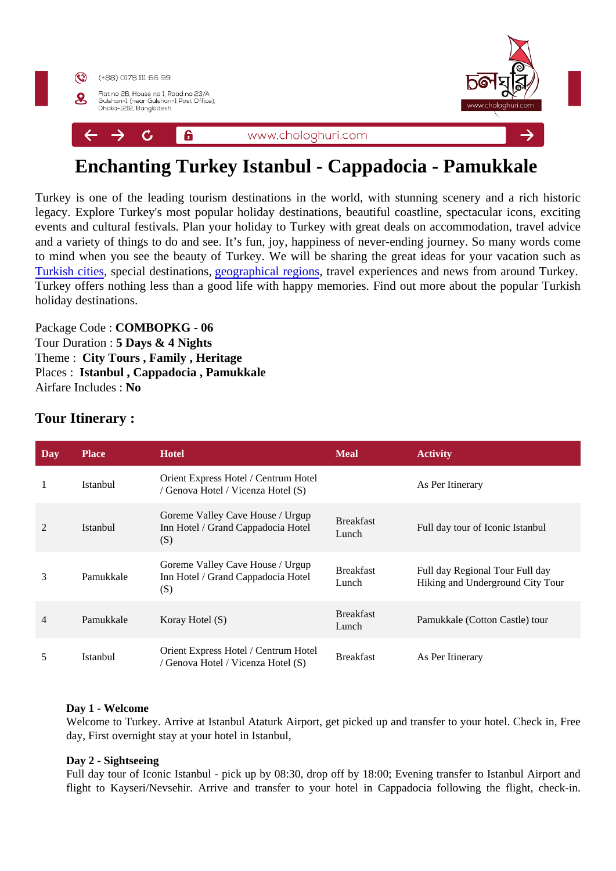# Enchanting Turkey Istanbul - Cappadocia - Pamukkale

Turkey is one of the leading tourism destinations in the world, with stunning scenery and a rich histo legacy. Explore Turkey's most popular holiday destinations, beautiful coastline, spectacular icons, exciting events and cultural festivals. Plan your holiday to Turkey with great deals on accommodation, travel adv and a variety of things to do and see. It's fun, joy, happiness of never-ending journey. So many words co to mind when you see the beauty of Turkey. We will be sharing the great ideas for your vacation such [Turkish cities](https://www.goturkeytourism.com/destinations-turkey/cities-of-turkey.html) special destinations eographical regions ravel experiences and news from around Turkey. Turkey offers nothing less than a good life with happy memories. Find out more about the popular Turki holiday destinations.

Package Code COMBOPKG - 06 Tour Duration : 5 Days & 4 Nights Theme : City Tours , Family , Heritage Places : Istanbul , Cappadocia , Pamukkale Airfare Includes No

| Day | Place     | Hotel                                                                         | <b>Meal</b>               | Activity                                                            |
|-----|-----------|-------------------------------------------------------------------------------|---------------------------|---------------------------------------------------------------------|
|     | Istanbul  | Orient Express Hotel / Centrum Hotel<br>/ Genova Hotel / Vicenza Hotel (S)    |                           | As Per Itinerary                                                    |
| 2   | Istanbul  | Goreme Valley Cave House / Urgup<br>Inn Hotel / Grand Cappadocia Hotel<br>(S) | <b>Breakfast</b><br>Lunch | Full day tour of Iconic Istanbul                                    |
| 3   | Pamukkale | Goreme Valley Cave House / Urgup<br>Inn Hotel / Grand Cappadocia Hotel<br>(S) | <b>Breakfast</b><br>Lunch | Full day Regional Tour Full day<br>Hiking and Underground City Tour |
| 4   | Pamukkale | Koray Hotel (S)                                                               | <b>Breakfast</b><br>Lunch | Pamukkale (Cotton Castle) tour                                      |
| 5   | Istanbul  | Orient Express Hotel / Centrum Hotel<br>/ Genova Hotel / Vicenza Hotel (S)    | <b>Breakfast</b>          | As Per Itinerary                                                    |

Tour Itinerary :

#### Day 1 - Welcome

Welcome to Turkey. Arrive at Istanbul Ataturk Airport, get picked up and transfer to your hotel. Check in, Fre day, First overnight stay at your hotel in Istanbul,

#### Day 2 - Sightseeing

Full day tour of Iconic Istanbul - pick up by 08:30, drop off by 18:00; Evening transfer to Istanbul Airport and flight to Kayseri/Nevsehir. Arrive and transfer to your hotel in Cappadocia following the flight, check-in.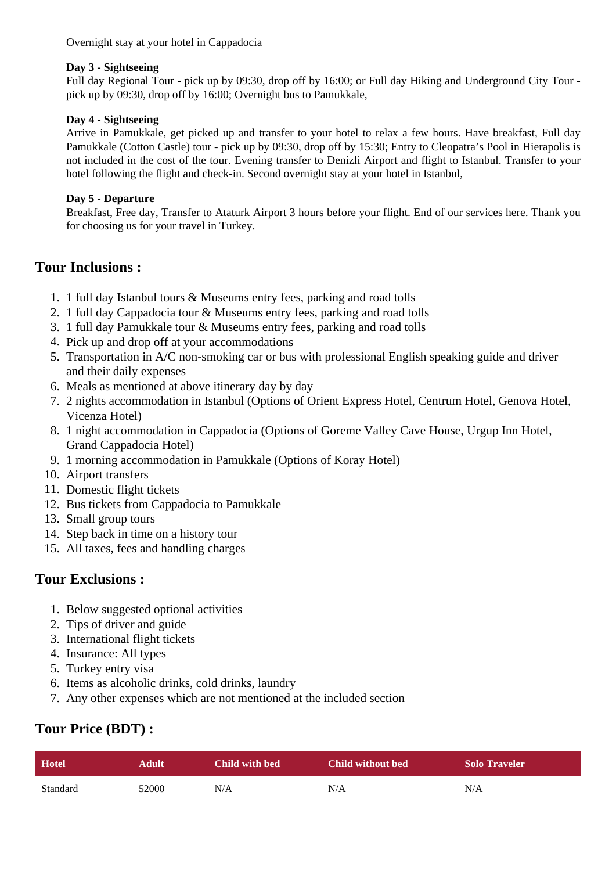Overnight stay at your hotel in Cappadocia

#### **Day 3 - Sightseeing**

Full day Regional Tour - pick up by 09:30, drop off by 16:00; or Full day Hiking and Underground City Tour pick up by 09:30, drop off by 16:00; Overnight bus to Pamukkale,

#### **Day 4 - Sightseeing**

Arrive in Pamukkale, get picked up and transfer to your hotel to relax a few hours. Have breakfast, Full day Pamukkale (Cotton Castle) tour - pick up by 09:30, drop off by 15:30; Entry to Cleopatra's Pool in Hierapolis is not included in the cost of the tour. Evening transfer to Denizli Airport and flight to Istanbul. Transfer to your hotel following the flight and check-in. Second overnight stay at your hotel in Istanbul,

#### **Day 5 - Departure**

Breakfast, Free day, Transfer to Ataturk Airport 3 hours before your flight. End of our services here. Thank you for choosing us for your travel in Turkey.

### **Tour Inclusions :**

- 1. 1 full day Istanbul tours & Museums entry fees, parking and road tolls
- 2. 1 full day Cappadocia tour & Museums entry fees, parking and road tolls
- 3. 1 full day Pamukkale tour & Museums entry fees, parking and road tolls
- 4. Pick up and drop off at your accommodations
- 5. Transportation in A/C non-smoking car or bus with professional English speaking guide and driver and their daily expenses
- 6. Meals as mentioned at above itinerary day by day
- 7. 2 nights accommodation in Istanbul (Options of Orient Express Hotel, Centrum Hotel, Genova Hotel, Vicenza Hotel)
- 8. 1 night accommodation in Cappadocia (Options of Goreme Valley Cave House, Urgup Inn Hotel, Grand Cappadocia Hotel)
- 9. 1 morning accommodation in Pamukkale (Options of Koray Hotel)
- 10. Airport transfers
- 11. Domestic flight tickets
- 12. Bus tickets from Cappadocia to Pamukkale
- 13. Small group tours
- 14. Step back in time on a history tour
- 15. All taxes, fees and handling charges

### **Tour Exclusions :**

- 1. Below suggested optional activities
- 2. Tips of driver and guide
- 3. International flight tickets
- 4. Insurance: All types
- 5. Turkey entry visa
- 6. Items as alcoholic drinks, cold drinks, laundry
- 7. Any other expenses which are not mentioned at the included section

## **Tour Price (BDT) :**

| <b>Hotel</b> | <b>Adult</b> | Child with bed | Child without bed | <b>Solo Traveler</b> |
|--------------|--------------|----------------|-------------------|----------------------|
| Standard     | 52000        | N/A            | N/A               | N/A                  |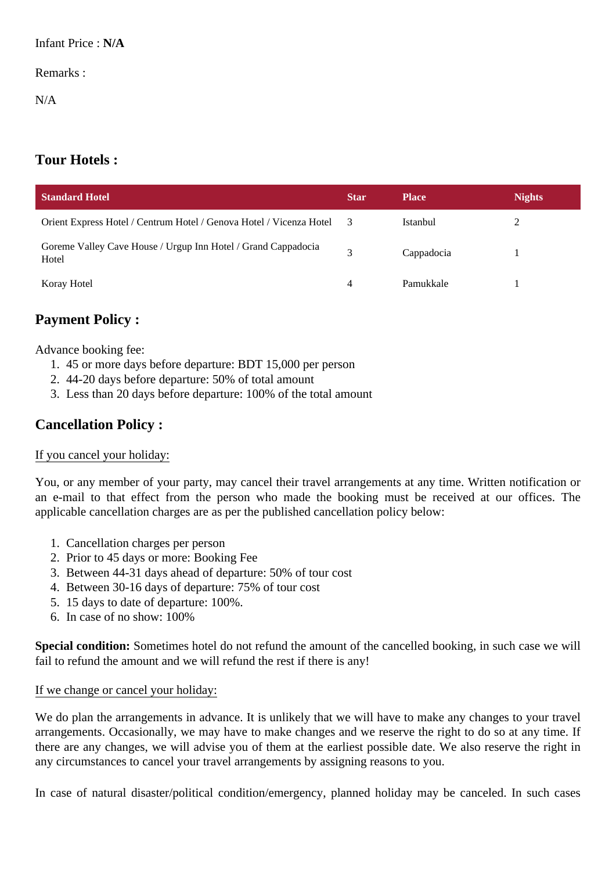### Remarks :

N/A

# **Tour Hotels :**

| <b>Standard Hotel</b>                                                  | <b>Star</b>  | <b>Place</b>    | <b>Nights</b> |
|------------------------------------------------------------------------|--------------|-----------------|---------------|
| Orient Express Hotel / Centrum Hotel / Genova Hotel / Vicenza Hotel    |              | <b>Istanbul</b> | 2             |
| Goreme Valley Cave House / Urgup Inn Hotel / Grand Cappadocia<br>Hotel | $\mathbf{R}$ | Cappadocia      |               |
| Koray Hotel                                                            | 4            | Pamukkale       |               |

# **Payment Policy :**

Advance booking fee:

- 1. 45 or more days before departure: BDT 15,000 per person
- 2. 44-20 days before departure: 50% of total amount
- 3. Less than 20 days before departure: 100% of the total amount

# **Cancellation Policy :**

### If you cancel your holiday:

You, or any member of your party, may cancel their travel arrangements at any time. Written notification or an e-mail to that effect from the person who made the booking must be received at our offices. The applicable cancellation charges are as per the published cancellation policy below:

- 1. Cancellation charges per person
- 2. Prior to 45 days or more: Booking Fee
- 3. Between 44-31 days ahead of departure: 50% of tour cost
- 4. Between 30-16 days of departure: 75% of tour cost
- 5. 15 days to date of departure: 100%.
- 6. In case of no show: 100%

**Special condition:** Sometimes hotel do not refund the amount of the cancelled booking, in such case we will fail to refund the amount and we will refund the rest if there is any!

### If we change or cancel your holiday:

We do plan the arrangements in advance. It is unlikely that we will have to make any changes to your travel arrangements. Occasionally, we may have to make changes and we reserve the right to do so at any time. If there are any changes, we will advise you of them at the earliest possible date. We also reserve the right in any circumstances to cancel your travel arrangements by assigning reasons to you.

In case of natural disaster/political condition/emergency, planned holiday may be canceled. In such cases